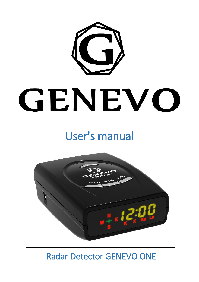

# GENEVO

# User's manual



Radar Detector GENEVO ONE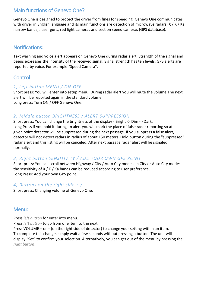# Main functions of Genevo One?

Genevo One is designed to protect the driver from fines for speeding. Genevo One communicates with driver in English language and its main functions are detection of microwave radars (X / K / Ka narrow bands), laser guns, red light cameras and section speed cameras (GPS database).

# Notifications:

Text warning and voice alert appears on Genevo One during radar alert. Strength of the signal and beeps expresses the intensity of the received signal. Signal strength has ten levels. GPS alerts are reported by voice. For example "Speed Camera".

# Control:

#### *1) Left button MENU / ON-OFF*

Short press: You will enter into setup menu. During radar alert you will mute the volume.The next alert will be reported again in the standard volume. Long press: Turn ON / OFF Genevo One.

#### *2) Middle button BRIGHTNESS / ALERT SUPPRESSION*

Short press: You can change the brightness of the display - Bright -> Dim -> Dark. Long Press If you hold it during an alert you will mark the place of false radar reporting so at a given point detector will be suppressed during the next passage. If you suppress a false alert, detector will not detect radars in radius of about 150 meters. Hold button during the "suppressed" radar alert and this listing will be canceled. After next passage radar alert will be signaled normally.

#### *3) Right button SENSITIVITY / ADD YOUR OWN GPS POINT*

Short press: You can scroll between Highway / City / Auto City modes. In City or Auto City modes the sensitivity of X / K / Ka bands can be reduced according to user preference. Long Press: Add your own GPS point.

#### *4) Buttons on the right side + / -*

Short press: Changing volume of Genevo One.

# Menu:

Press *left button* for enter into menu.

Press *left button* to go from one item to the next.

Press VOLUME + or – (on the right side of detector) to change your setting within an item. To complete this change, simply wait a few seconds without pressing a button. The unit will display "Set" to confirm your selection. Alternatively, you can get out of the menu by pressing the *right button*.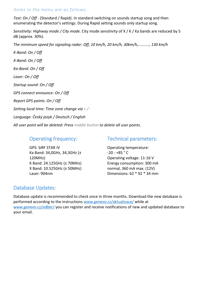#### *Items in the menu are as follows:*

*Test: On / Off* - (Standard / Rapid). In standard switching on sounds startup song and then enumerating the detector's settings. During Rapid setting sounds only startup song.

*Sensitivity: Highway mode / City mode.* City mode sensitivity of X / K / Ka bands are reduced by 5 dB (approx. 30%).

*The minimum speed for signaling radar: Off, 10 km/h, 20 km/h, 30km/h,……….., 130 km/h*

*K-Band: On / Off X-Band: On / Off Ka-Band: On / Off Laser: On / Off Startup sound: On / Off GPS connect announce: On / Off Report GPS points: On / Off Setting local time: Time zone change via + / - Language: Český jazyk / Deutsch / English*

*All user point will be deleted: Press middle button to delete all user points.*

# Operating frequency:

GPS: SiRF STAR IV Ka Band: 34,0GHz, 34,3GHz (± 120MHz) K Band: 24.125GHz (± 70MHz) X Band: 10.525GHz (± 50MHz) Laser: 904nm

### Technical parameters:

Operating temperature:  $-20 - +85 °C$ Operating voltage: 11-16 V Energy consumption: 300 mA normal, 360 mA max. (12V) Dimensions: 62 \* 92 \* 34 mm

# Database Updates:

Database update is recommended to check once in three months. Download the new database is performed according to the instructions [www.genevo.cz/aktualizace/](http://www.genevo.cz/aktualizace/) while at [www.genevo.cz/odber/](http://www.genevo.cz/odber/) you can register and receive notifications of new and updated database to your email.